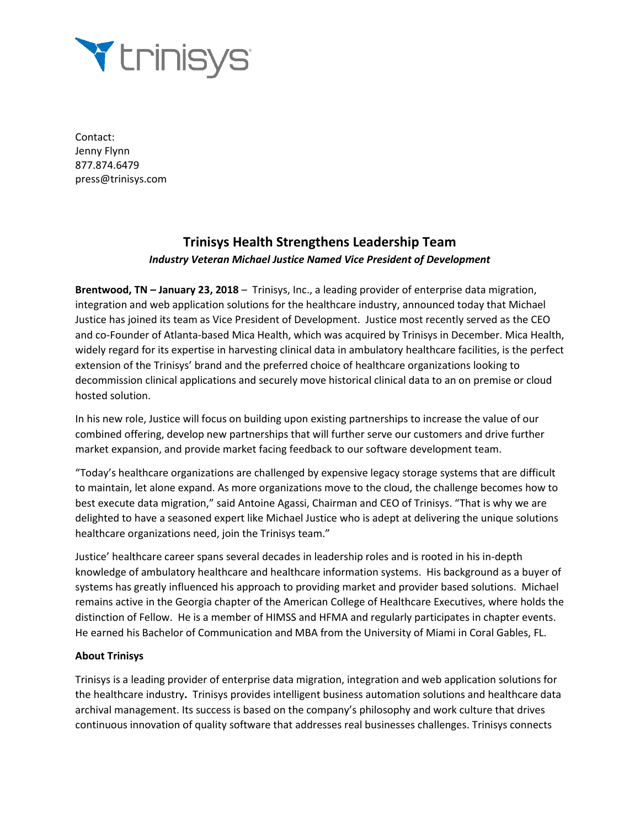

Contact: Jenny Flynn 877.874.6479 press@trinisys.com

## **Trinisys Health Strengthens Leadership Team** *Industry Veteran Michael Justice Named Vice President of Development*

**Brentwood, TN – January 23, 2018** – Trinisys, Inc., a leading provider of enterprise data migration, integration and web application solutions for the healthcare industry, announced today that Michael Justice has joined its team as Vice President of Development. Justice most recently served as the CEO and co-Founder of Atlanta-based Mica Health, which was acquired by Trinisys in December. Mica Health, widely regard for its expertise in harvesting clinical data in ambulatory healthcare facilities, is the perfect extension of the Trinisys' brand and the preferred choice of healthcare organizations looking to decommission clinical applications and securely move historical clinical data to an on premise or cloud hosted solution.

In his new role, Justice will focus on building upon existing partnerships to increase the value of our combined offering, develop new partnerships that will further serve our customers and drive further market expansion, and provide market facing feedback to our software development team.

"Today's healthcare organizations are challenged by expensive legacy storage systems that are difficult to maintain, let alone expand. As more organizations move to the cloud, the challenge becomes how to best execute data migration," said Antoine Agassi, Chairman and CEO of Trinisys. "That is why we are delighted to have a seasoned expert like Michael Justice who is adept at delivering the unique solutions healthcare organizations need, join the Trinisys team."

Justice' healthcare career spans several decades in leadership roles and is rooted in his in-depth knowledge of ambulatory healthcare and healthcare information systems. His background as a buyer of systems has greatly influenced his approach to providing market and provider based solutions. Michael remains active in the Georgia chapter of the American College of Healthcare Executives, where holds the distinction of Fellow. He is a member of HIMSS and HFMA and regularly participates in chapter events. He earned his Bachelor of Communication and MBA from the University of Miami in Coral Gables, FL.

## **About Trinisys**

Trinisys is a leading provider of enterprise data migration, integration and web application solutions for the healthcare industry**.** Trinisys provides intelligent business automation solutions and healthcare data archival management. Its success is based on the company's philosophy and work culture that drives continuous innovation of quality software that addresses real businesses challenges. Trinisys connects